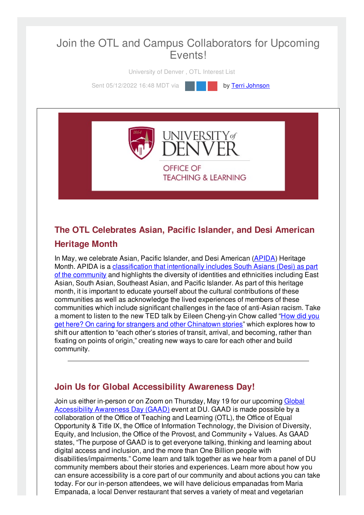# Join the OTL and Campus Collaborators for Upcoming Events!

University of Denver , OTL Interest List

Sent 05/12/2022 16:48 MDT via **by Terri [Johnson](file:///networks/du/users/1149646)** 



**TEACHING & LEARNING** 

## **The OTL Celebrates Asian, Pacific Islander, and Desi American Heritage Month**

In May, we celebrate Asian, Pacific Islander, and Desi American [\(APIDA\)](https://aaopmn.org/2021/05/31/asian-heritage-month-whats-in-a-name/) Heritage Month. APIDA is a [classification](https://www.csusm.edu/apidafsa/who_is_apida/index.html) that intentionally includes South Asians (Desi) as part of the community and highlights the diversity of identities and ethnicities including East Asian, South Asian, Southeast Asian, and Pacific Islander. As part of this heritage month, it is important to educate yourself about the cultural contributions of these communities as well as acknowledge the lived experiences of members of these communities which include significant challenges in the face of anti-Asian racism. Take a moment to listen to the new TED talk by Eileen [Cheng-yin](https://www.ted.com/talks/eileen_chow_how_did_you_get_here_on_caring_for_strangers_and_other_chinatown_stories) Chow called "How did you get here? On caring for strangers and other Chinatown stories" which explores how to shift our attention to "each other's stories of transit, arrival, and becoming, rather than fixating on points of origin," creating new ways to care for each other and build community.

## **Join Us for Global Accessibility Awareness Day!**

Join us either in-person or on Zoom on Thursday, May 19 for our upcoming Global [Accessibility](https://accessibility.day/) Awareness Day (GAAD) event at DU. GAAD is made possible by a collaboration of the Office of Teaching and Learning (OTL), the Office of Equal Opportunity & Title IX, the Office of Information Technology, the Division of Diversity, Equity, and Inclusion, the Office of the Provost, and Community + Values. As GAAD states, "The purpose of GAAD is to get everyone talking, thinking and learning about digital access and inclusion, and the more than One Billion people with disabilities/impairments." Come learn and talk together as we hear from a panel of DU community members about their stories and experiences. Learn more about how you can ensure accessibility is a core part of our community and about actions you can take today. For our in-person attendees, we will have delicious empanadas from Maria Empanada, a local Denver restaurant that serves a variety of meat and vegetarian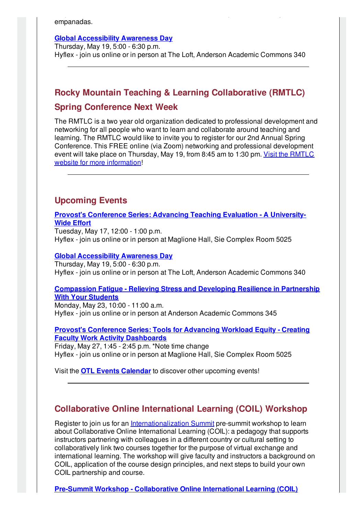empanadas.

### **Global [Accessibility](https://accessibility.du.edu/content/global-accessibility-awareness-day) Awareness Day**

Thursday, May 19, 5:00 - 6:30 p.m. Hyflex - join us online or in person at The Loft, Anderson Academic Commons 340

Empanada, a local Denver restaurant that serves a variety of meat and vegetariant that serves a variety of meat

# **Rocky Mountain Teaching & Learning Collaborative (RMTLC) Spring Conference Next Week**

The RMTLC is a two year old organization dedicated to professional development and networking for all people who want to learn and collaborate around teaching and learning. The RMTLC would like to invite you to register for our 2nd Annual Spring Conference. This FREE online (via Zoom) networking and professional development event will take place on Thursday, May 19, from 8:45 am to 1:30 pm. Visit the RMTLC website for more [information!](https://www.colorado.edu/center/teaching-learning/2nd-annual-rocky-mountain-teaching-learning-collaborative-spring-conference)

## **Upcoming Events**

**Provost's [Conference](http://otl-events.du.edu/public/registration/5893) Series: Advancing Teaching Evaluation - A University-Wide Effort**

Tuesday, May 17, 12:00 - 1:00 p.m. Hyflex - join us online or in person at Maglione Hall, Sie Complex Room 5025

#### **Global [Accessibility](https://accessibility.du.edu/content/global-accessibility-awareness-day) Awareness Day**

Thursday, May 19, 5:00 - 6:30 p.m. Hyflex - join us online or in person at The Loft, Anderson Academic Commons 340

### **[Compassion](https://otl-events.du.edu/public/registration/5822) Fatigue - Relieving Stress and Developing Resilience in Partnership With Your Students**

Monday, May 23, 10:00 - 11:00 a.m. Hyflex - join us online or in person at Anderson Academic Commons 345

### **Provost's [Conference](https://otl-events.du.edu/public/registration/5878) Series: Tools for Advancing Workload Equity - Creating Faculty Work Activity Dashboards**

Friday, May 27, 1:45 - 2:45 p.m. \*Note time change Hyflex - join us online or in person at Maglione Hall, Sie Complex Room 5025

Visit the **OTL Events [Calendar](https://otl-events.du.edu/public/calendar)** to discover other upcoming events!

## **Collaborative Online International Learning (COIL) Workshop**

Register to join us for an [Internationalization](https://www.du.edu/intz/summit) Summit pre-summit workshop to learn about Collaborative Online International Learning (COIL): a pedagogy that supports instructors partnering with colleagues in a different country or cultural setting to collaboratively link two courses together for the purpose of virtual exchange and international learning. The workshop will give faculty and instructors a background on COIL, application of the course design principles, and next steps to build your own COIL partnership and course.

**Pre-Summit Workshop - [Collaborative](https://udenver.qualtrics.com/jfe/form/SV_8Im8ckSXNk9CAku) Online International Learning (COIL)**